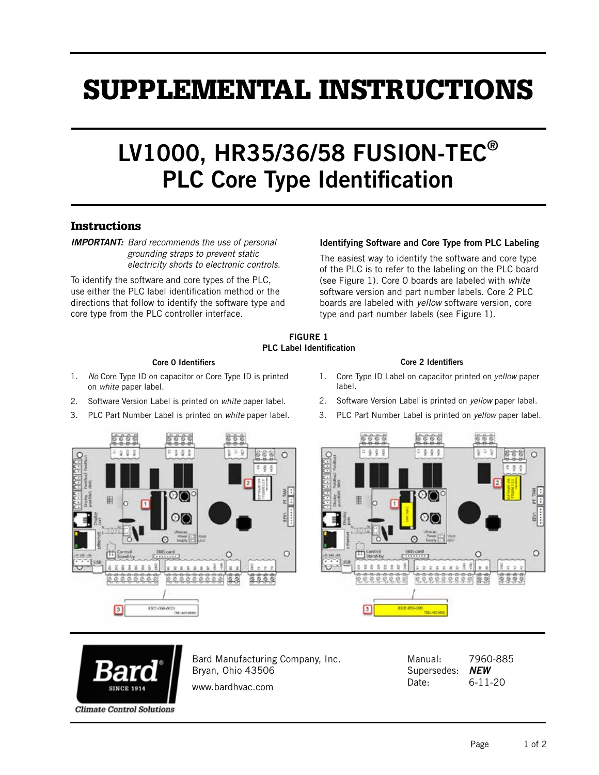# SUPPLEMENTAL INSTRUCTIONS

## LV1000, HR35/36/58 FUSION-TEC® PLC Core Type Identification

### **Instructions**

*IMPORTANT: Bard recommends the use of personal grounding straps to prevent static electricity shorts to electronic controls.* 

To identify the software and core types of the PLC, use either the PLC label identification method or the directions that follow to identify the software type and core type from the PLC controller interface.

#### Identifying Software and Core Type from PLC Labeling

The easiest way to identify the software and core type of the PLC is to refer to the labeling on the PLC board (see Figure 1). Core 0 boards are labeled with *white* software version and part number labels. Core 2 PLC boards are labeled with *yellow* software version, core type and part number labels (see Figure 1).

#### FIGURE 1 PLC Label Identification

#### Core 0 Identifiers

- 1. *No* Core Type ID on capacitor or Core Type ID is printed on *white* paper label.
- 2. Software Version Label is printed on *white* paper label.
- 3. PLC Part Number Label is printed on *white* paper label.



- 1. Core Type ID Label on capacitor printed on *yellow* paper label.
- 2. Software Version Label is printed on *yellow* paper label.
- 3. PLC Part Number Label is printed on *yellow* paper label.







Bard Manufacturing Company, Inc. Bryan, Ohio 43506 www.bardhvac.com

Manual: 7960-885 Supersedes: *NEW* Date: 6-11-20